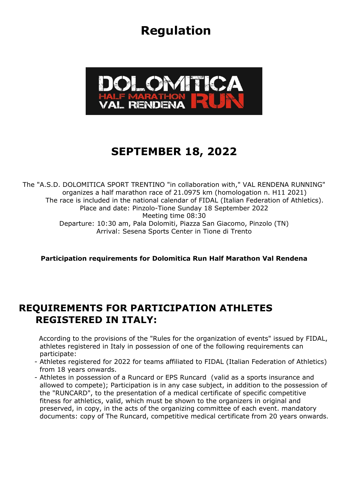# **Regulation**



# **SEPTEMBER 18, 2022**

The "A.S.D. DOLOMITICA SPORT TRENTINO "in collaboration with," VAL RENDENA RUNNING" organizes a half marathon race of 21.0975 km (homologation n. H11 2021) The race is included in the national calendar of FIDAL (Italian Federation of Athletics). Place and date: Pinzolo-Tione Sunday 18 September 2022 Meeting time 08:30 Departure: 10:30 am, Pala Dolomiti, Piazza San Giacomo, Pinzolo (TN) Arrival: Sesena Sports Center in Tione di Trento

**Participation requirements for Dolomitica Run Half Marathon Val Rendena**

#### **REQUIREMENTS FOR PARTICIPATION ATHLETES REGISTERED IN ITALY:**

 According to the provisions of the "Rules for the organization of events" issued by FIDAL, athletes registered in Italy in possession of one of the following requirements can participate:

- Athletes registered for 2022 for teams affiliated to FIDAL (Italian Federation of Athletics) from 18 years onwards.
- Athletes in possession of a Runcard or EPS Runcard (valid as a sports insurance and allowed to compete); Participation is in any case subject, in addition to the possession of the "RUNCARD", to the presentation of a medical certificate of specific competitive fitness for athletics, valid, which must be shown to the organizers in original and preserved, in copy, in the acts of the organizing committee of each event. mandatory documents: copy of The Runcard, competitive medical certificate from 20 years onwards.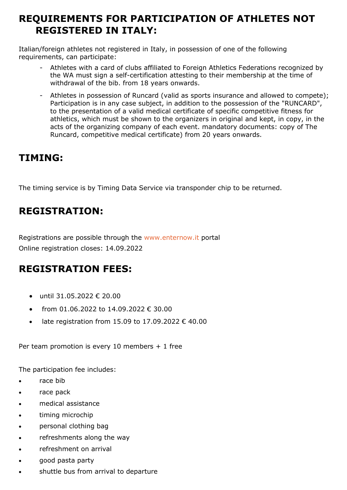### **REQUIREMENTS FOR PARTICIPATION OF ATHLETES NOT REGISTERED IN ITALY:**

Italian/foreign athletes not registered in Italy, in possession of one of the following requirements, can participate:

- Athletes with a card of clubs affiliated to Foreign Athletics Federations recognized by the WA must sign a self-certification attesting to their membership at the time of withdrawal of the bib. from 18 years onwards.
- Athletes in possession of Runcard (valid as sports insurance and allowed to compete); Participation is in any case subject, in addition to the possession of the "RUNCARD", to the presentation of a valid medical certificate of specific competitive fitness for athletics, which must be shown to the organizers in original and kept, in copy, in the acts of the organizing company of each event. mandatory documents: copy of The Runcard, competitive medical certificate) from 20 years onwards.

#### **TIMING:**

The timing service is by Timing Data Service via transponder chip to be returned.

## **REGISTRATION:**

Registrations are possible through the [www.enternow.it](http://www.enternow.it/) portal Online registration closes: 14.09.2022

## **REGISTRATION FEES:**

- until 31.05.2022 € 20.00
- from 01.06.2022 to 14.09.2022 € 30.00
- late registration from 15.09 to 17.09.2022 € 40.00

Per team promotion is every 10 members + 1 free

The participation fee includes:

- race bib
- race pack
- medical assistance
- timing microchip
- personal clothing bag
- refreshments along the way
- refreshment on arrival
- good pasta party
- shuttle bus from arrival to departure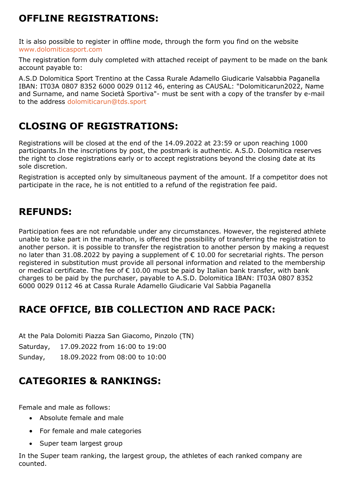## **OFFLINE REGISTRATIONS:**

It is also possible to register in offline mode, through the form you find on the website [www.dolomiticasport.com](http://www.dolomiticarun.com/)

The registration form duly completed with attached receipt of payment to be made on the bank account payable to:

A.S.D Dolomitica Sport Trentino at the Cassa Rurale Adamello Giudicarie Valsabbia Paganella IBAN: IT03A 0807 8352 6000 0029 0112 46, entering as CAUSAL: "Dolomiticarun2022, Name and Surname, and name Società Sportiva"- must be sent with a copy of the transfer by e-mail to the address [dolomiticarun@tds.sport](mailto:dolomiticarun@tds.sport)

## **CLOSING OF REGISTRATIONS:**

Registrations will be closed at the end of the 14.09.2022 at 23:59 or upon reaching 1000 participants.In the inscriptions by post, the postmark is authentic. A.S.D. Dolomitica reserves the right to close registrations early or to accept registrations beyond the closing date at its sole discretion.

Registration is accepted only by simultaneous payment of the amount. If a competitor does not participate in the race, he is not entitled to a refund of the registration fee paid.

## **REFUNDS:**

Participation fees are not refundable under any circumstances. However, the registered athlete unable to take part in the marathon, is offered the possibility of transferring the registration to another person. it is possible to transfer the registration to another person by making a request no later than 31.08.2022 by paying a supplement of  $\epsilon$  10.00 for secretarial rights. The person registered in substitution must provide all personal information and related to the membership or medical certificate. The fee of  $\epsilon$  10.00 must be paid by Italian bank transfer, with bank charges to be paid by the purchaser, payable to A.S.D. Dolomitica IBAN: IT03A 0807 8352 6000 0029 0112 46 at Cassa Rurale Adamello Giudicarie Val Sabbia Paganella

## **RACE OFFICE, BIB COLLECTION AND RACE PACK:**

At the Pala Dolomiti Piazza San Giacomo, Pinzolo (TN)

Saturday, 17.09.2022 from 16:00 to 19:00

Sunday, 18.09.2022 from 08:00 to 10:00

## **CATEGORIES & RANKINGS:**

Female and male as follows:

- Absolute female and male
- For female and male categories
- Super team largest group

In the Super team ranking, the largest group, the athletes of each ranked company are counted.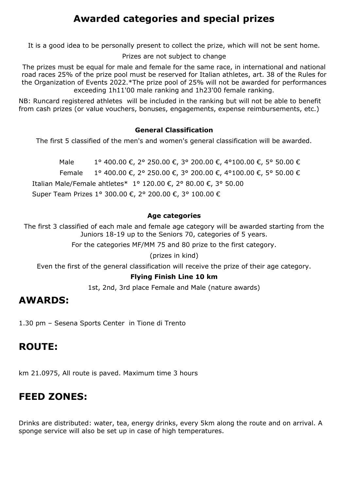### **Awarded categories and special prizes**

It is a good idea to be personally present to collect the prize, which will not be sent home.

Prizes are not subject to change

The prizes must be equal for male and female for the same race, in international and national road races 25% of the prize pool must be reserved for Italian athletes, art. 38 of the Rules for the Organization of Events 2022.\*The prize pool of 25% will not be awarded for performances exceeding 1h11'00 male ranking and 1h23'00 female ranking.

NB: Runcard registered athletes will be included in the ranking but will not be able to benefit from cash prizes (or value vouchers, bonuses, engagements, expense reimbursements, etc.)

#### **General Classification**

The first 5 classified of the men's and women's general classification will be awarded.

Male 1° 400.00 €, 2° 250.00 €, 3° 200.00 €, 4°100.00 €, 5° 50.00 € Female 1° 400.00 €, 2° 250.00 €, 3° 200.00 €, 4°100.00 €, 5° 50.00 € Italian Male/Female ahtletes\* 1° 120.00 €, 2° 80.00 €, 3° 50.00 Super Team Prizes 1° 300.00 €, 2° 200.00 €, 3° 100.00 €

#### **Age categories**

The first 3 classified of each male and female age category will be awarded starting from the Juniors 18-19 up to the Seniors 70, categories of 5 years.

For the categories MF/MM 75 and 80 prize to the first category.

(prizes in kind)

Even the first of the general classification will receive the prize of their age category.

#### **Flying Finish Line 10 km**

1st, 2nd, 3rd place Female and Male (nature awards)

#### **AWARDS:**

1.30 pm – Sesena Sports Center in Tione di Trento

#### **ROUTE:**

km 21.0975, All route is paved. Maximum time 3 hours

#### **FEED ZONES:**

Drinks are distributed: water, tea, energy drinks, every 5km along the route and on arrival. A sponge service will also be set up in case of high temperatures.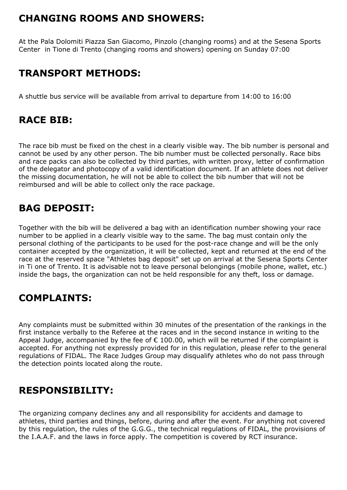## **CHANGING ROOMS AND SHOWERS:**

At the Pala Dolomiti Piazza San Giacomo, Pinzolo (changing rooms) and at the Sesena Sports Center in Tione di Trento (changing rooms and showers) opening on Sunday 07:00

## **TRANSPORT METHODS:**

A shuttle bus service will be available from arrival to departure from 14:00 to 16:00

## **RACE BIB:**

The race bib must be fixed on the chest in a clearly visible way. The bib number is personal and cannot be used by any other person. The bib number must be collected personally. Race bibs and race packs can also be collected by third parties, with written proxy, letter of confirmation of the delegator and photocopy of a valid identification document. If an athlete does not deliver the missing documentation, he will not be able to collect the bib number that will not be reimbursed and will be able to collect only the race package.

### **BAG DEPOSIT:**

Together with the bib will be delivered a bag with an identification number showing your race number to be applied in a clearly visible way to the same. The bag must contain only the personal clothing of the participants to be used for the post-race change and will be the only container accepted by the organization, it will be collected, kept and returned at the end of the race at the reserved space "Athletes bag deposit" set up on arrival at the Sesena Sports Center in Ti one of Trento. It is advisable not to leave personal belongings (mobile phone, wallet, etc.) inside the bags, the organization can not be held responsible for any theft, loss or damage.

## **COMPLAINTS:**

Any complaints must be submitted within 30 minutes of the presentation of the rankings in the first instance verbally to the Referee at the races and in the second instance in writing to the Appeal Judge, accompanied by the fee of  $\epsilon$  100.00, which will be returned if the complaint is accepted. For anything not expressly provided for in this regulation, please refer to the general regulations of FIDAL. The Race Judges Group may disqualify athletes who do not pass through the detection points located along the route.

## **RESPONSIBILITY:**

The organizing company declines any and all responsibility for accidents and damage to athletes, third parties and things, before, during and after the event. For anything not covered by this regulation, the rules of the G.G.G., the technical regulations of FIDAL, the provisions of the I.A.A.F. and the laws in force apply. The competition is covered by RCT insurance.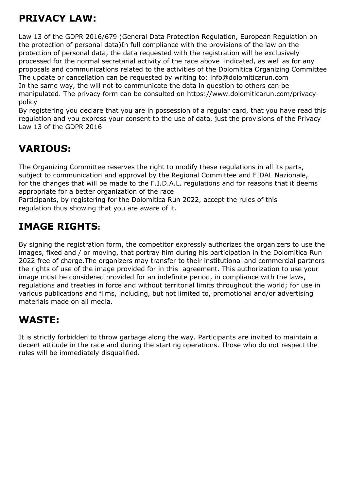## **PRIVACY LAW:**

Law 13 of the GDPR 2016/679 (General Data Protection Regulation, European Regulation on the protection of personal data)In full compliance with the provisions of the law on the protection of personal data, the data requested with the registration will be exclusively processed for the normal secretarial activity of the race above indicated, as well as for any proposals and communications related to the activities of the Dolomitica Organizing Committee The update or cancellation can be requested by writing to: info@dolomiticarun.com In the same way, the will not to communicate the data in question to others can be manipulated. The privacy form can be consulted on https://www.dolomiticarun.com/privacypolicy

By registering you declare that you are in possession of a regular card, that you have read this regulation and you express your consent to the use of data, just the provisions of the Privacy Law 13 of the GDPR 2016

## **VARIOUS:**

The Organizing Committee reserves the right to modify these regulations in all its parts, subject to communication and approval by the Regional Committee and FIDAL Nazionale, for the changes that will be made to the F.I.D.A.L. regulations and for reasons that it deems appropriate for a better organization of the race

Participants, by registering for the Dolomitica Run 2022, accept the rules of this regulation thus showing that you are aware of it.

## **IMAGE RIGHTS:**

By signing the registration form, the competitor expressly authorizes the organizers to use the images, fixed and / or moving, that portray him during his participation in the Dolomitica Run 2022 free of charge.The organizers may transfer to their institutional and commercial partners the rights of use of the image provided for in this agreement. This authorization to use your image must be considered provided for an indefinite period, in compliance with the laws, regulations and treaties in force and without territorial limits throughout the world; for use in various publications and films, including, but not limited to, promotional and/or advertising materials made on all media.

## **WASTE:**

It is strictly forbidden to throw garbage along the way. Participants are invited to maintain a decent attitude in the race and during the starting operations. Those who do not respect the rules will be immediately disqualified.